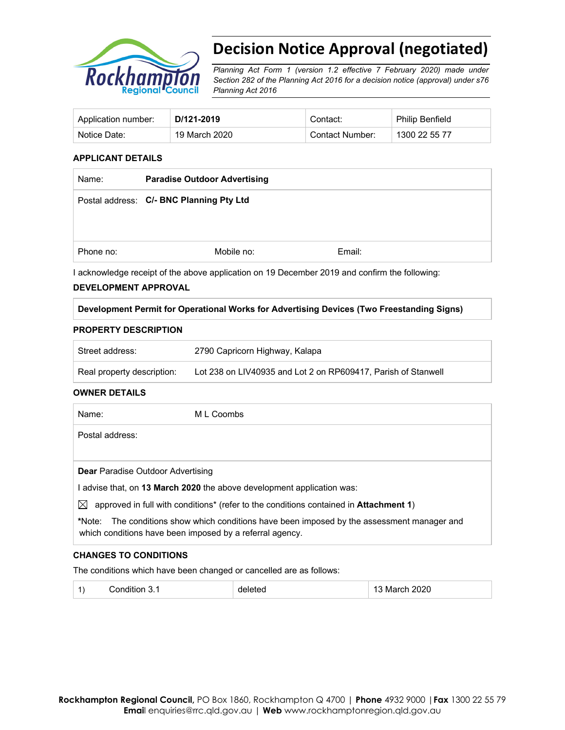

# **Decision Notice Approval (negotiated)**

*Planning Act Form 1 (version 1.2 effective 7 February 2020) made under Section 282 of the Planning Act 2016 for a decision notice (approval) under s76 Planning Act 2016*

| Application number: | D/121-2019    | Contact:        | <b>Philip Benfield</b> |
|---------------------|---------------|-----------------|------------------------|
| Notice Date:        | 19 March 2020 | Contact Number: | 1300 22 55 77          |

## **APPLICANT DETAILS**

| <b>Paradise Outdoor Advertising</b>      |        |  |
|------------------------------------------|--------|--|
| Postal address: C/- BNC Planning Pty Ltd |        |  |
|                                          |        |  |
| Mobile no:                               | Email: |  |
|                                          |        |  |

I acknowledge receipt of the above application on 19 December 2019 and confirm the following:

### **DEVELOPMENT APPROVAL**

## **Development Permit for Operational Works for Advertising Devices (Two Freestanding Signs)**

#### **PROPERTY DESCRIPTION**

| Street address:            | 2790 Capricorn Highway, Kalapa                                |
|----------------------------|---------------------------------------------------------------|
| Real property description: | Lot 238 on LIV40935 and Lot 2 on RP609417. Parish of Stanwell |

## **OWNER DETAILS**

| Name:                                    | M L Coombs                                                                                                                                       |
|------------------------------------------|--------------------------------------------------------------------------------------------------------------------------------------------------|
| Postal address:                          |                                                                                                                                                  |
|                                          |                                                                                                                                                  |
| <b>Dear</b> Paradise Outdoor Advertising |                                                                                                                                                  |
|                                          | I advise that, on 13 March 2020 the above development application was:                                                                           |
| ⊠                                        | approved in full with conditions <sup>*</sup> (refer to the conditions contained in <b>Attachment 1</b> )                                        |
| *Note:                                   | The conditions show which conditions have been imposed by the assessment manager and<br>which conditions have been imposed by a referral agency. |

## **CHANGES TO CONDITIONS**

The conditions which have been changed or cancelled are as follows:

| . |  | - -<br>12 U |
|---|--|-------------|
|---|--|-------------|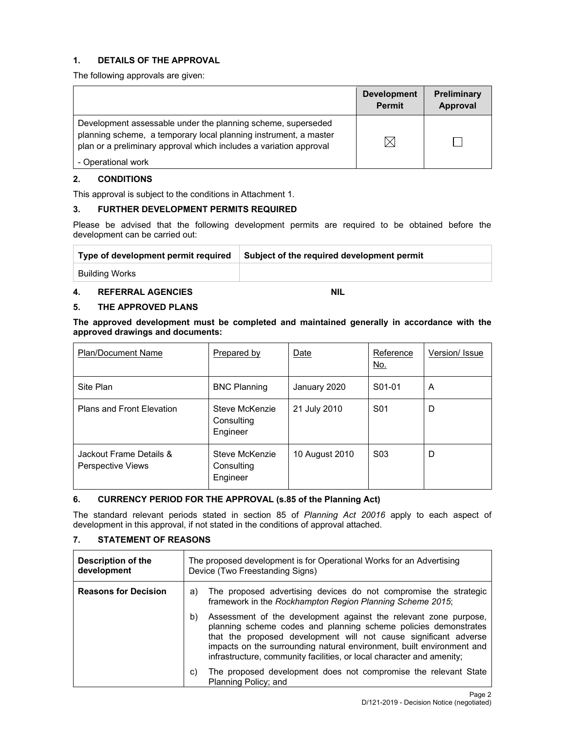## **1. DETAILS OF THE APPROVAL**

The following approvals are given:

|                                                                                                                                                                                                        | <b>Development</b><br><b>Permit</b> | Preliminary<br>Approval |
|--------------------------------------------------------------------------------------------------------------------------------------------------------------------------------------------------------|-------------------------------------|-------------------------|
| Development assessable under the planning scheme, superseded<br>planning scheme, a temporary local planning instrument, a master<br>plan or a preliminary approval which includes a variation approval | $\boxtimes$                         |                         |
| - Operational work                                                                                                                                                                                     |                                     |                         |

## **2. CONDITIONS**

This approval is subject to the conditions in Attachment 1.

## **3. FURTHER DEVELOPMENT PERMITS REQUIRED**

Please be advised that the following development permits are required to be obtained before the development can be carried out:

| Type of development permit required | Subject of the required development permit |
|-------------------------------------|--------------------------------------------|
| <b>Building Works</b>               |                                            |

## **4. REFERRAL AGENCIES NIL**

### **5. THE APPROVED PLANS**

**The approved development must be completed and maintained generally in accordance with the approved drawings and documents:** 

| <b>Plan/Document Name</b>                    | Prepared by                              | <b>Date</b>    | Reference<br>No.    | Version/ Issue |
|----------------------------------------------|------------------------------------------|----------------|---------------------|----------------|
| Site Plan                                    | <b>BNC Planning</b>                      | January 2020   | S <sub>01</sub> -01 | A              |
| <b>Plans and Front Elevation</b>             | Steve McKenzie<br>Consulting<br>Engineer | 21 July 2010   | S <sub>01</sub>     | D              |
| Jackout Frame Details &<br>Perspective Views | Steve McKenzie<br>Consulting<br>Engineer | 10 August 2010 | S <sub>0</sub> 3    | D              |

## **6. CURRENCY PERIOD FOR THE APPROVAL (s.85 of the Planning Act)**

The standard relevant periods stated in section 85 of *Planning Act 20016* apply to each aspect of development in this approval, if not stated in the conditions of approval attached.

## **7. STATEMENT OF REASONS**

| Description of the<br>development | The proposed development is for Operational Works for an Advertising<br>Device (Two Freestanding Signs)                                                                                                                                                                                                                                                         |  |
|-----------------------------------|-----------------------------------------------------------------------------------------------------------------------------------------------------------------------------------------------------------------------------------------------------------------------------------------------------------------------------------------------------------------|--|
| <b>Reasons for Decision</b>       | The proposed advertising devices do not compromise the strategic<br>a)<br>framework in the Rockhampton Region Planning Scheme 2015;                                                                                                                                                                                                                             |  |
|                                   | Assessment of the development against the relevant zone purpose,<br>b)<br>planning scheme codes and planning scheme policies demonstrates<br>that the proposed development will not cause significant adverse<br>impacts on the surrounding natural environment, built environment and<br>infrastructure, community facilities, or local character and amenity; |  |
|                                   | The proposed development does not compromise the relevant State<br>C)<br>Planning Policy; and                                                                                                                                                                                                                                                                   |  |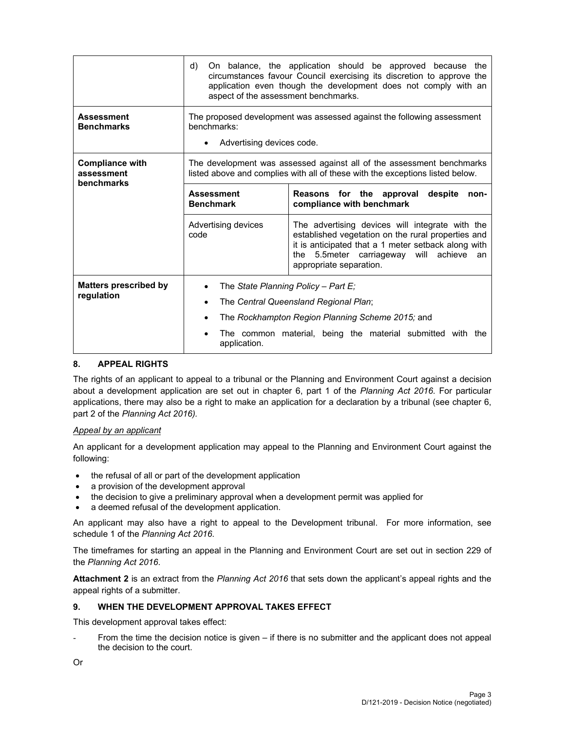|                                                    | On balance, the application should be approved because the<br>d)<br>circumstances favour Council exercising its discretion to approve the<br>application even though the development does not comply with an<br>aspect of the assessment benchmarks. |                                                                                                                                                                                                                                         |  |  |
|----------------------------------------------------|------------------------------------------------------------------------------------------------------------------------------------------------------------------------------------------------------------------------------------------------------|-----------------------------------------------------------------------------------------------------------------------------------------------------------------------------------------------------------------------------------------|--|--|
| <b>Assessment</b><br><b>Benchmarks</b>             | The proposed development was assessed against the following assessment<br>benchmarks:<br>Advertising devices code.                                                                                                                                   |                                                                                                                                                                                                                                         |  |  |
| <b>Compliance with</b><br>assessment<br>benchmarks | The development was assessed against all of the assessment benchmarks<br>listed above and complies with all of these with the exceptions listed below.                                                                                               |                                                                                                                                                                                                                                         |  |  |
|                                                    | <b>Assessment</b><br><b>Benchmark</b>                                                                                                                                                                                                                | Reasons for the approval<br>despite<br>non-<br>compliance with benchmark                                                                                                                                                                |  |  |
|                                                    | Advertising devices<br>code                                                                                                                                                                                                                          | The advertising devices will integrate with the<br>established vegetation on the rural properties and<br>it is anticipated that a 1 meter setback along with<br>the 5.5 meter carriageway will achieve<br>an<br>appropriate separation. |  |  |
| <b>Matters prescribed by</b>                       | The State Planning Policy - Part E;                                                                                                                                                                                                                  |                                                                                                                                                                                                                                         |  |  |
| regulation                                         | The Central Queensland Regional Plan;                                                                                                                                                                                                                |                                                                                                                                                                                                                                         |  |  |
|                                                    |                                                                                                                                                                                                                                                      | The Rockhampton Region Planning Scheme 2015; and                                                                                                                                                                                        |  |  |
|                                                    | The common material, being the material submitted with the<br>application.                                                                                                                                                                           |                                                                                                                                                                                                                                         |  |  |

## **8. APPEAL RIGHTS**

The rights of an applicant to appeal to a tribunal or the Planning and Environment Court against a decision about a development application are set out in chapter 6, part 1 of the *Planning Act 2016*. For particular applications, there may also be a right to make an application for a declaration by a tribunal (see chapter 6, part 2 of the *Planning Act 2016).*

## *Appeal by an applicant*

An applicant for a development application may appeal to the Planning and Environment Court against the following:

- the refusal of all or part of the development application
- a provision of the development approval
- the decision to give a preliminary approval when a development permit was applied for
- a deemed refusal of the development application.

An applicant may also have a right to appeal to the Development tribunal. For more information, see schedule 1 of the *Planning Act 2016*.

The timeframes for starting an appeal in the Planning and Environment Court are set out in section 229 of the *Planning Act 2016*.

**Attachment 2** is an extract from the *Planning Act 2016* that sets down the applicant's appeal rights and the appeal rights of a submitter.

## **9. WHEN THE DEVELOPMENT APPROVAL TAKES EFFECT**

This development approval takes effect:

From the time the decision notice is given  $-$  if there is no submitter and the applicant does not appeal the decision to the court.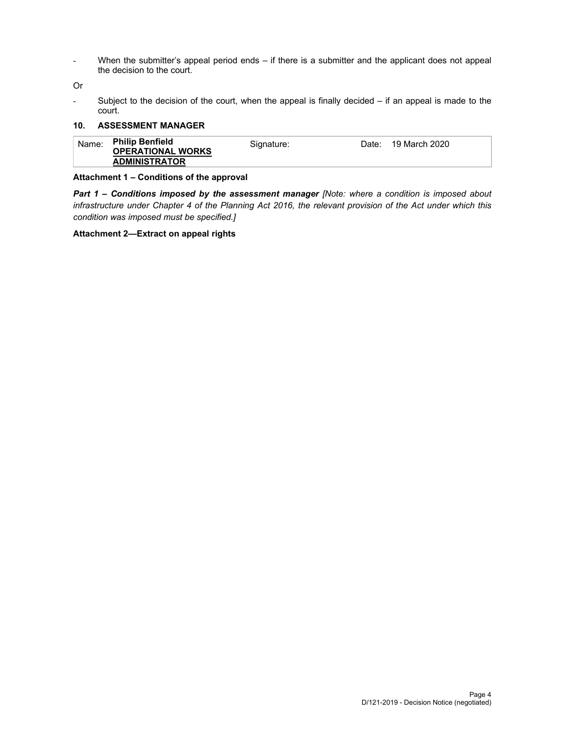- When the submitter's appeal period ends – if there is a submitter and the applicant does not appeal the decision to the court.

Or

- Subject to the decision of the court, when the appeal is finally decided – if an appeal is made to the court.

## **10. ASSESSMENT MANAGER**

| Name: | <b>Philip Benfield</b><br><b>OPERATIONAL WORKS</b> | Signature: | 19 March 2020<br>Date: |  |
|-------|----------------------------------------------------|------------|------------------------|--|
|       | <b>ADMINISTRATOR</b>                               |            |                        |  |

## **Attachment 1 – Conditions of the approval**

*Part 1* **–** *Conditions imposed by the assessment manager [Note: where a condition is imposed about infrastructure under Chapter 4 of the Planning Act 2016, the relevant provision of the Act under which this condition was imposed must be specified.]* 

## **Attachment 2—Extract on appeal rights**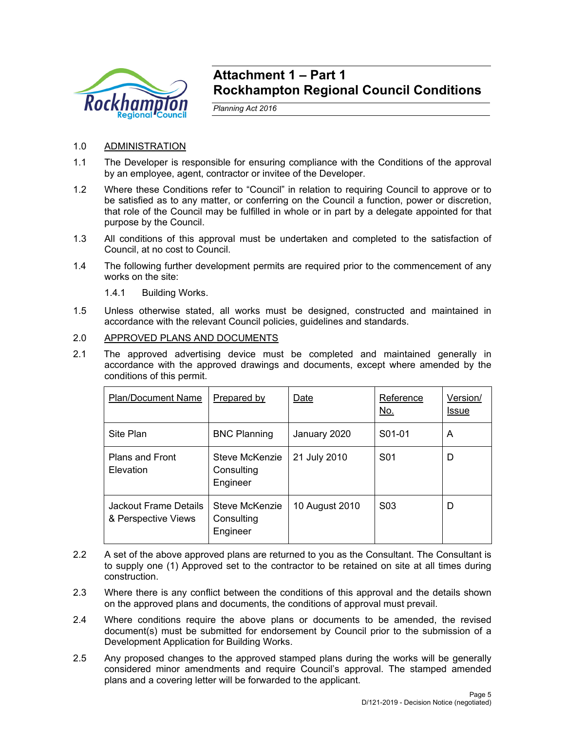

## **Attachment 1 – Part 1 Rockhampton Regional Council Conditions**

*Planning Act 2016* 

## 1.0 ADMINISTRATION

- 1.1 The Developer is responsible for ensuring compliance with the Conditions of the approval by an employee, agent, contractor or invitee of the Developer.
- 1.2 Where these Conditions refer to "Council" in relation to requiring Council to approve or to be satisfied as to any matter, or conferring on the Council a function, power or discretion, that role of the Council may be fulfilled in whole or in part by a delegate appointed for that purpose by the Council.
- 1.3 All conditions of this approval must be undertaken and completed to the satisfaction of Council, at no cost to Council.
- 1.4 The following further development permits are required prior to the commencement of any works on the site:
	- 1.4.1 Building Works.
- 1.5 Unless otherwise stated, all works must be designed, constructed and maintained in accordance with the relevant Council policies, guidelines and standards.

## 2.0 APPROVED PLANS AND DOCUMENTS

2.1 The approved advertising device must be completed and maintained generally in accordance with the approved drawings and documents, except where amended by the conditions of this permit.

| <b>Plan/Document Name</b>                    | Prepared by                              | Date           | Reference<br><u>No.</u> | Version/<br>Issue |
|----------------------------------------------|------------------------------------------|----------------|-------------------------|-------------------|
| Site Plan                                    | <b>BNC Planning</b>                      | January 2020   | S01-01                  | A                 |
| <b>Plans and Front</b><br>Elevation          | Steve McKenzie<br>Consulting<br>Engineer | 21 July 2010   | S <sub>01</sub>         | D                 |
| Jackout Frame Details<br>& Perspective Views | Steve McKenzie<br>Consulting<br>Engineer | 10 August 2010 | S <sub>0</sub> 3        | D                 |

- 2.2 A set of the above approved plans are returned to you as the Consultant. The Consultant is to supply one (1) Approved set to the contractor to be retained on site at all times during construction.
- 2.3 Where there is any conflict between the conditions of this approval and the details shown on the approved plans and documents, the conditions of approval must prevail.
- 2.4 Where conditions require the above plans or documents to be amended, the revised document(s) must be submitted for endorsement by Council prior to the submission of a Development Application for Building Works.
- 2.5 Any proposed changes to the approved stamped plans during the works will be generally considered minor amendments and require Council's approval. The stamped amended plans and a covering letter will be forwarded to the applicant.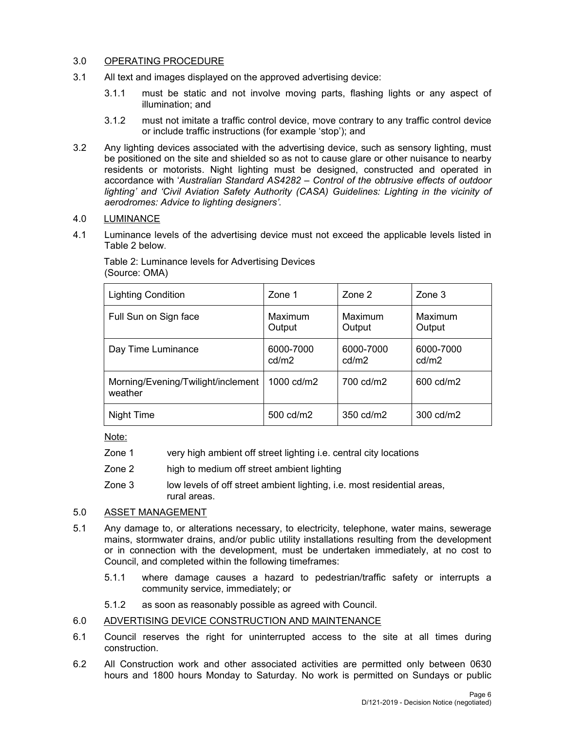## 3.0 OPERATING PROCEDURE

- 3.1 All text and images displayed on the approved advertising device:
	- 3.1.1 must be static and not involve moving parts, flashing lights or any aspect of illumination; and
	- 3.1.2 must not imitate a traffic control device, move contrary to any traffic control device or include traffic instructions (for example 'stop'); and
- 3.2 Any lighting devices associated with the advertising device, such as sensory lighting, must be positioned on the site and shielded so as not to cause glare or other nuisance to nearby residents or motorists. Night lighting must be designed, constructed and operated in accordance with '*Australian Standard AS4282 – Control of the obtrusive effects of outdoor*  lighting' and 'Civil Aviation Safety Authority (CASA) Guidelines: Lighting in the vicinity of *aerodromes: Advice to lighting designers'.*

## 4.0 LUMINANCE

4.1 Luminance levels of the advertising device must not exceed the applicable levels listed in Table 2 below.

| <b>Lighting Condition</b>                     | Zone 1             | Zone 2             | Zone 3             |
|-----------------------------------------------|--------------------|--------------------|--------------------|
| Full Sun on Sign face                         | Maximum<br>Output  | Maximum<br>Output  | Maximum<br>Output  |
| Day Time Luminance                            | 6000-7000<br>cd/m2 | 6000-7000<br>cd/m2 | 6000-7000<br>cd/m2 |
| Morning/Evening/Twilight/inclement<br>weather | 1000 cd/m2         | 700 cd/m2          | 600 cd/m2          |
| Night Time                                    | 500 cd/m2          | 350 cd/m2          | 300 cd/m2          |

Table 2: Luminance levels for Advertising Devices (Source: OMA)

Note:

- Zone 1 very high ambient off street lighting i.e. central city locations
- Zone 2 high to medium off street ambient lighting
- Zone 3 low levels of off street ambient lighting, i.e. most residential areas, rural areas.

## 5.0 ASSET MANAGEMENT

- 5.1 Any damage to, or alterations necessary, to electricity, telephone, water mains, sewerage mains, stormwater drains, and/or public utility installations resulting from the development or in connection with the development, must be undertaken immediately, at no cost to Council, and completed within the following timeframes:
	- 5.1.1 where damage causes a hazard to pedestrian/traffic safety or interrupts a community service, immediately; or
	- 5.1.2 as soon as reasonably possible as agreed with Council.

## 6.0 ADVERTISING DEVICE CONSTRUCTION AND MAINTENANCE

- 6.1 Council reserves the right for uninterrupted access to the site at all times during construction.
- 6.2 All Construction work and other associated activities are permitted only between 0630 hours and 1800 hours Monday to Saturday. No work is permitted on Sundays or public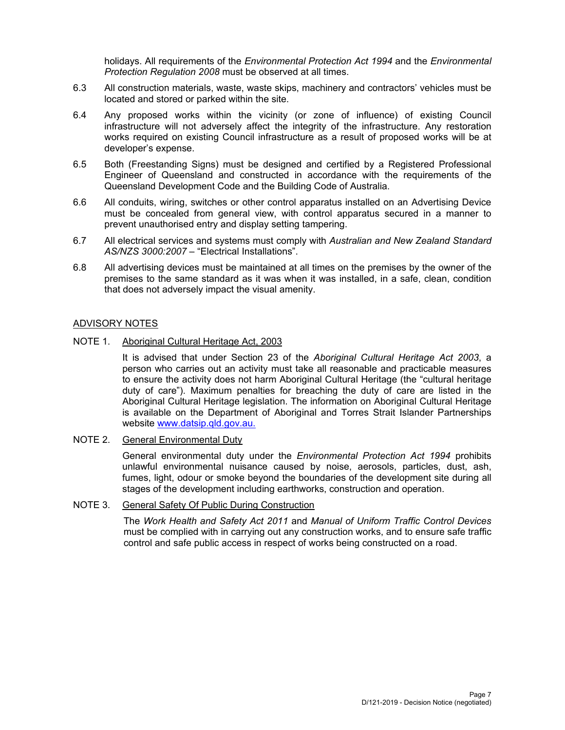holidays. All requirements of the *Environmental Protection Act 1994* and the *Environmental Protection Regulation 2008* must be observed at all times.

- 6.3 All construction materials, waste, waste skips, machinery and contractors' vehicles must be located and stored or parked within the site.
- 6.4 Any proposed works within the vicinity (or zone of influence) of existing Council infrastructure will not adversely affect the integrity of the infrastructure. Any restoration works required on existing Council infrastructure as a result of proposed works will be at developer's expense.
- 6.5 Both (Freestanding Signs) must be designed and certified by a Registered Professional Engineer of Queensland and constructed in accordance with the requirements of the Queensland Development Code and the Building Code of Australia.
- 6.6 All conduits, wiring, switches or other control apparatus installed on an Advertising Device must be concealed from general view, with control apparatus secured in a manner to prevent unauthorised entry and display setting tampering.
- 6.7 All electrical services and systems must comply with *Australian and New Zealand Standard AS/NZS 3000:2007* – "Electrical Installations".
- 6.8 All advertising devices must be maintained at all times on the premises by the owner of the premises to the same standard as it was when it was installed, in a safe, clean, condition that does not adversely impact the visual amenity.

## ADVISORY NOTES

NOTE 1. Aboriginal Cultural Heritage Act, 2003

It is advised that under Section 23 of the *Aboriginal Cultural Heritage Act 2003*, a person who carries out an activity must take all reasonable and practicable measures to ensure the activity does not harm Aboriginal Cultural Heritage (the "cultural heritage duty of care"). Maximum penalties for breaching the duty of care are listed in the Aboriginal Cultural Heritage legislation. The information on Aboriginal Cultural Heritage is available on the Department of Aboriginal and Torres Strait Islander Partnerships website www.datsip.qld.gov.au.

NOTE 2. General Environmental Duty

General environmental duty under the *Environmental Protection Act 1994* prohibits unlawful environmental nuisance caused by noise, aerosols, particles, dust, ash, fumes, light, odour or smoke beyond the boundaries of the development site during all stages of the development including earthworks, construction and operation.

NOTE 3. General Safety Of Public During Construction

The *Work Health and Safety Act 2011* and *Manual of Uniform Traffic Control Devices* must be complied with in carrying out any construction works, and to ensure safe traffic control and safe public access in respect of works being constructed on a road.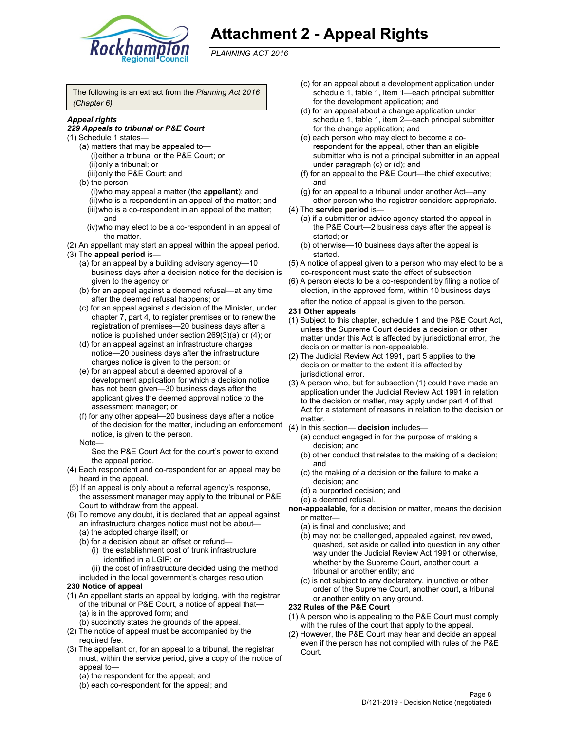

# **Attachment 2 - Appeal Rights**

*PLANNING ACT 2016*

The following is an extract from the *Planning Act 2016 (Chapter 6)*

### *Appeal rights*

#### *229 Appeals to tribunal or P&E Court*

- (1) Schedule 1 states—
	- (a) matters that may be appealed to— (i) either a tribunal or the P&E Court; or (ii) only a tribunal; or (iii) only the P&E Court; and
	- (b) the person—
		- (i) who may appeal a matter (the **appellant**); and (ii) who is a respondent in an appeal of the matter; and (iii) who is a co-respondent in an appeal of the matter; and
		- (iv) who may elect to be a co-respondent in an appeal of the matter.
- (2) An appellant may start an appeal within the appeal period.
- (3) The **appeal period** is—
	- (a) for an appeal by a building advisory agency—10 business days after a decision notice for the decision is given to the agency or
	- (b) for an appeal against a deemed refusal—at any time after the deemed refusal happens; or
	- (c) for an appeal against a decision of the Minister, under chapter 7, part 4, to register premises or to renew the registration of premises—20 business days after a notice is published under section 269(3)(a) or (4); or
	- (d) for an appeal against an infrastructure charges notice—20 business days after the infrastructure charges notice is given to the person; or
	- (e) for an appeal about a deemed approval of a development application for which a decision notice has not been given—30 business days after the applicant gives the deemed approval notice to the assessment manager; or
	- (f) for any other appeal—20 business days after a notice of the decision for the matter, including an enforcement notice, is given to the person.
	- Note—
		- See the P&E Court Act for the court's power to extend the appeal period.
- (4) Each respondent and co-respondent for an appeal may be heard in the appeal.
- (5) If an appeal is only about a referral agency's response, the assessment manager may apply to the tribunal or P&E Court to withdraw from the appeal.
- (6) To remove any doubt, it is declared that an appeal against an infrastructure charges notice must not be about—
	- (a) the adopted charge itself; or
	- (b) for a decision about an offset or refund—
		- (i) the establishment cost of trunk infrastructure identified in a LGIP; or
	- (ii) the cost of infrastructure decided using the method included in the local government's charges resolution.

## **230 Notice of appeal**

- (1) An appellant starts an appeal by lodging, with the registrar of the tribunal or P&E Court, a notice of appeal that— (a) is in the approved form; and
	- (b) succinctly states the grounds of the appeal.
- (2) The notice of appeal must be accompanied by the required fee.
- (3) The appellant or, for an appeal to a tribunal, the registrar must, within the service period, give a copy of the notice of appeal to—
	- (a) the respondent for the appeal; and
	- (b) each co-respondent for the appeal; and
- (c) for an appeal about a development application under schedule 1, table 1, item 1—each principal submitter for the development application; and
- (d) for an appeal about a change application under schedule 1, table 1, item 2—each principal submitter for the change application; and
- (e) each person who may elect to become a corespondent for the appeal, other than an eligible submitter who is not a principal submitter in an appeal under paragraph (c) or (d); and
- (f) for an appeal to the P&E Court—the chief executive; and
- (g) for an appeal to a tribunal under another Act—any other person who the registrar considers appropriate.
- (4) The **service period** is—
	- (a) if a submitter or advice agency started the appeal in the P&E Court—2 business days after the appeal is started; or
	- (b) otherwise—10 business days after the appeal is started.
- (5) A notice of appeal given to a person who may elect to be a co-respondent must state the effect of subsection
- (6) A person elects to be a co-respondent by filing a notice of election, in the approved form, within 10 business days after the notice of appeal is given to the person*.*

#### **231 Other appeals**

- (1) Subject to this chapter, schedule 1 and the P&E Court Act, unless the Supreme Court decides a decision or other matter under this Act is affected by jurisdictional error, the decision or matter is non-appealable.
- (2) The Judicial Review Act 1991, part 5 applies to the decision or matter to the extent it is affected by jurisdictional error.
- (3) A person who, but for subsection (1) could have made an application under the Judicial Review Act 1991 in relation to the decision or matter, may apply under part 4 of that Act for a statement of reasons in relation to the decision or matter.
- (4) In this section— **decision** includes—
	- (a) conduct engaged in for the purpose of making a decision; and
	- (b) other conduct that relates to the making of a decision; and
	- (c) the making of a decision or the failure to make a decision; and
	- (d) a purported decision; and
	- (e) a deemed refusal.
- **non-appealable**, for a decision or matter, means the decision or matter—
	- (a) is final and conclusive; and
	- (b) may not be challenged, appealed against, reviewed, quashed, set aside or called into question in any other way under the Judicial Review Act 1991 or otherwise, whether by the Supreme Court, another court, a tribunal or another entity; and
	- (c) is not subject to any declaratory, injunctive or other order of the Supreme Court, another court, a tribunal or another entity on any ground.

#### **232 Rules of the P&E Court**

- (1) A person who is appealing to the P&E Court must comply with the rules of the court that apply to the appeal.
- (2) However, the P&E Court may hear and decide an appeal even if the person has not complied with rules of the P&E Court.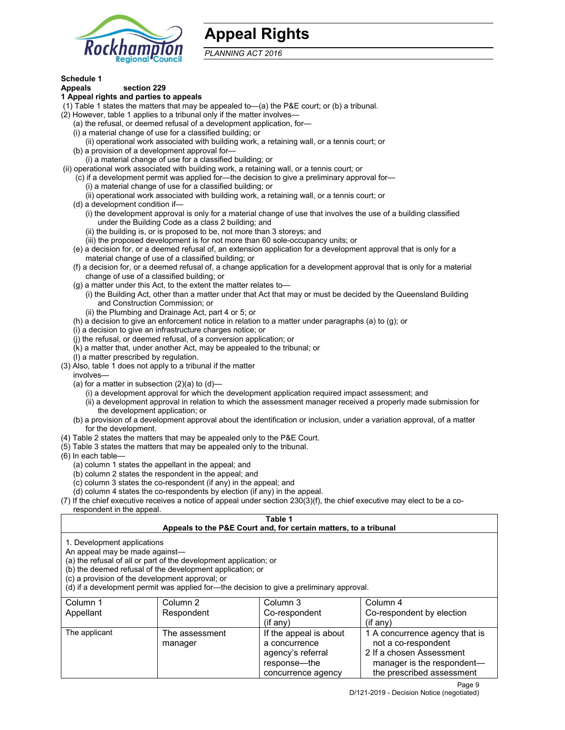

# **Appeal Rights**

*PLANNING ACT 2016*

## **Schedule 1**

#### **Appeals section 229 1 Appeal rights and parties to appeals**

- (1) Table 1 states the matters that may be appealed to—(a) the P&E court; or (b) a tribunal.
- (2) However, table 1 applies to a tribunal only if the matter involves—
	- (a) the refusal, or deemed refusal of a development application, for—
	- (i) a material change of use for a classified building; or
	- (ii) operational work associated with building work, a retaining wall, or a tennis court; or
	- (b) a provision of a development approval for—
	- (i) a material change of use for a classified building; or
- (ii) operational work associated with building work, a retaining wall, or a tennis court; or
	- (c) if a development permit was applied for—the decision to give a preliminary approval for—
		- (i) a material change of use for a classified building; or
		- (ii) operational work associated with building work, a retaining wall, or a tennis court; or
	- (d) a development condition if—
		- (i) the development approval is only for a material change of use that involves the use of a building classified under the Building Code as a class 2 building; and
		- (ii) the building is, or is proposed to be, not more than 3 storeys; and
		- (iii) the proposed development is for not more than 60 sole-occupancy units; or
	- (e) a decision for, or a deemed refusal of, an extension application for a development approval that is only for a material change of use of a classified building; or
	- (f) a decision for, or a deemed refusal of, a change application for a development approval that is only for a material change of use of a classified building; or
	- (g) a matter under this Act, to the extent the matter relates to—
		- (i) the Building Act, other than a matter under that Act that may or must be decided by the Queensland Building and Construction Commission; or
		- (ii) the Plumbing and Drainage Act, part 4 or 5; or
	- (h) a decision to give an enforcement notice in relation to a matter under paragraphs (a) to (g); or
	- (i) a decision to give an infrastructure charges notice; or
	- (j) the refusal, or deemed refusal, of a conversion application; or
	- (k) a matter that, under another Act, may be appealed to the tribunal; or
	- (l) a matter prescribed by regulation.
- (3) Also, table 1 does not apply to a tribunal if the matter
- involves—
	- (a) for a matter in subsection  $(2)(a)$  to  $(d)$ 
		- (i) a development approval for which the development application required impact assessment; and
		- (ii) a development approval in relation to which the assessment manager received a properly made submission for the development application; or
	- (b) a provision of a development approval about the identification or inclusion, under a variation approval, of a matter for the development.
- (4) Table 2 states the matters that may be appealed only to the P&E Court.
- (5) Table 3 states the matters that may be appealed only to the tribunal.
- (6) In each table—
	- (a) column 1 states the appellant in the appeal; and
	- (b) column 2 states the respondent in the appeal; and
	- (c) column 3 states the co-respondent (if any) in the appeal; and
	- (d) column 4 states the co-respondents by election (if any) in the appeal.
- (7) If the chief executive receives a notice of appeal under section 230(3)(f), the chief executive may elect to be a corespondent in the appeal.

## **Table 1**

## **Appeals to the P&E Court and, for certain matters, to a tribunal**

1. Development applications

An appeal may be made against—

(a) the refusal of all or part of the development application; or

(b) the deemed refusal of the development application; or

(c) a provision of the development approval; or

(d) if a development permit was applied for—the decision to give a preliminary approval.

| Column 1      | Column 2       | Column 3               | Column 4                       |
|---------------|----------------|------------------------|--------------------------------|
| Appellant     | Respondent     | Co-respondent          | Co-respondent by election      |
|               |                | (if any)               | $(if$ any)                     |
| The applicant | The assessment | If the appeal is about | 1 A concurrence agency that is |
|               | manager        | a concurrence          | not a co-respondent            |
|               |                | agency's referral      | 2 If a chosen Assessment       |
|               |                | response—the           | manager is the respondent-     |
|               |                | concurrence agency     | the prescribed assessment      |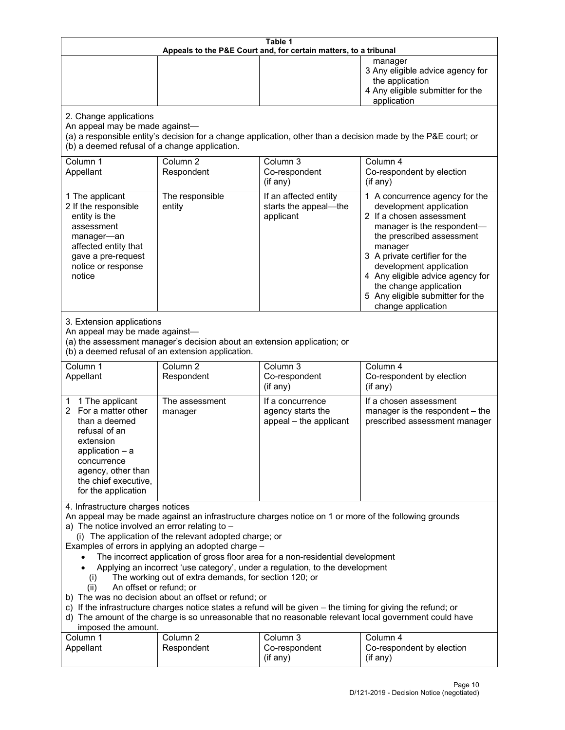| Table 1<br>Appeals to the P&E Court and, for certain matters, to a tribunal                                                                                                                                                                                                                                                                                                                                                                                                                                                                                                                                                                                                                                                                                                                                                                                                               |                                   |                                                                 |                                                                                                                                                                                                                                                                                                                                                 |
|-------------------------------------------------------------------------------------------------------------------------------------------------------------------------------------------------------------------------------------------------------------------------------------------------------------------------------------------------------------------------------------------------------------------------------------------------------------------------------------------------------------------------------------------------------------------------------------------------------------------------------------------------------------------------------------------------------------------------------------------------------------------------------------------------------------------------------------------------------------------------------------------|-----------------------------------|-----------------------------------------------------------------|-------------------------------------------------------------------------------------------------------------------------------------------------------------------------------------------------------------------------------------------------------------------------------------------------------------------------------------------------|
|                                                                                                                                                                                                                                                                                                                                                                                                                                                                                                                                                                                                                                                                                                                                                                                                                                                                                           |                                   |                                                                 | manager<br>3 Any eligible advice agency for<br>the application<br>4 Any eligible submitter for the<br>application                                                                                                                                                                                                                               |
| 2. Change applications<br>An appeal may be made against-<br>(b) a deemed refusal of a change application.                                                                                                                                                                                                                                                                                                                                                                                                                                                                                                                                                                                                                                                                                                                                                                                 |                                   |                                                                 | (a) a responsible entity's decision for a change application, other than a decision made by the P&E court; or                                                                                                                                                                                                                                   |
| Column <sub>1</sub><br>Appellant                                                                                                                                                                                                                                                                                                                                                                                                                                                                                                                                                                                                                                                                                                                                                                                                                                                          | Column <sub>2</sub><br>Respondent | Column 3<br>Co-respondent<br>(if any)                           | Column 4<br>Co-respondent by election<br>(if any)                                                                                                                                                                                                                                                                                               |
| 1 The applicant<br>2 If the responsible<br>entity is the<br>assessment<br>manager-an<br>affected entity that<br>gave a pre-request<br>notice or response<br>notice                                                                                                                                                                                                                                                                                                                                                                                                                                                                                                                                                                                                                                                                                                                        | The responsible<br>entity         | If an affected entity<br>starts the appeal-the<br>applicant     | 1 A concurrence agency for the<br>development application<br>2 If a chosen assessment<br>manager is the respondent-<br>the prescribed assessment<br>manager<br>3 A private certifier for the<br>development application<br>4 Any eligible advice agency for<br>the change application<br>5 Any eligible submitter for the<br>change application |
| 3. Extension applications<br>An appeal may be made against-<br>(a) the assessment manager's decision about an extension application; or<br>(b) a deemed refusal of an extension application.                                                                                                                                                                                                                                                                                                                                                                                                                                                                                                                                                                                                                                                                                              |                                   |                                                                 |                                                                                                                                                                                                                                                                                                                                                 |
| Column 1<br>Appellant                                                                                                                                                                                                                                                                                                                                                                                                                                                                                                                                                                                                                                                                                                                                                                                                                                                                     | Column <sub>2</sub><br>Respondent | Column 3<br>Co-respondent<br>(if any)                           | Column 4<br>Co-respondent by election<br>(if any)                                                                                                                                                                                                                                                                                               |
| 1 The applicant<br>1.<br>2 For a matter other<br>than a deemed<br>refusal of an<br>extension<br>application $-$ a<br>concurrence<br>agency, other than<br>the chief executive,<br>for the application                                                                                                                                                                                                                                                                                                                                                                                                                                                                                                                                                                                                                                                                                     | The assessment<br>manager         | If a concurrence<br>agency starts the<br>appeal - the applicant | If a chosen assessment<br>manager is the respondent - the<br>prescribed assessment manager                                                                                                                                                                                                                                                      |
| 4. Infrastructure charges notices<br>An appeal may be made against an infrastructure charges notice on 1 or more of the following grounds<br>a) The notice involved an error relating to -<br>(i) The application of the relevant adopted charge; or<br>Examples of errors in applying an adopted charge -<br>The incorrect application of gross floor area for a non-residential development<br>Applying an incorrect 'use category', under a regulation, to the development<br>The working out of extra demands, for section 120; or<br>(i)<br>An offset or refund; or<br>(ii)<br>b) The was no decision about an offset or refund; or<br>c) If the infrastructure charges notice states a refund will be given - the timing for giving the refund; or<br>d) The amount of the charge is so unreasonable that no reasonable relevant local government could have<br>imposed the amount. |                                   |                                                                 |                                                                                                                                                                                                                                                                                                                                                 |
| Column 1<br>Appellant                                                                                                                                                                                                                                                                                                                                                                                                                                                                                                                                                                                                                                                                                                                                                                                                                                                                     | Column <sub>2</sub><br>Respondent | Column 3<br>Co-respondent<br>(if any)                           | Column 4<br>Co-respondent by election<br>(if any)                                                                                                                                                                                                                                                                                               |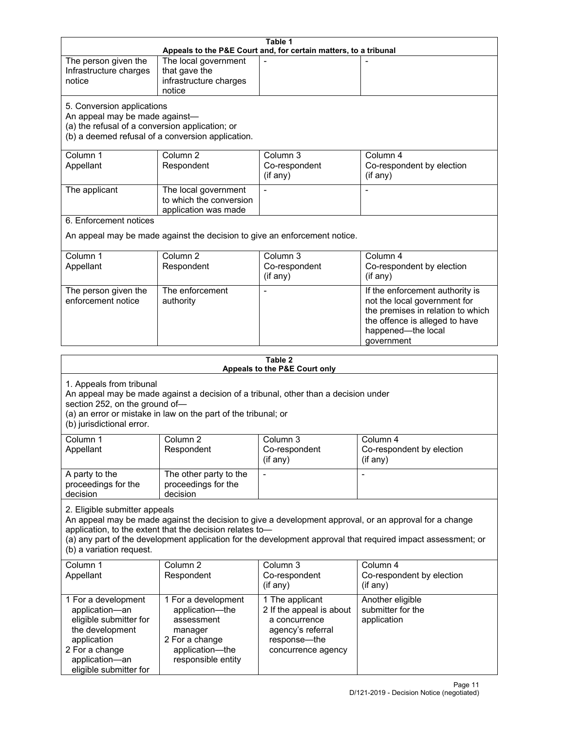| Table 1<br>Appeals to the P&E Court and, for certain matters, to a tribunal                                                                                        |                                                                |                                                                                     |                                                                     |
|--------------------------------------------------------------------------------------------------------------------------------------------------------------------|----------------------------------------------------------------|-------------------------------------------------------------------------------------|---------------------------------------------------------------------|
| The person given the                                                                                                                                               | The local government                                           |                                                                                     |                                                                     |
| Infrastructure charges                                                                                                                                             | that gave the                                                  |                                                                                     |                                                                     |
| notice                                                                                                                                                             | infrastructure charges<br>notice                               |                                                                                     |                                                                     |
| 5. Conversion applications                                                                                                                                         |                                                                |                                                                                     |                                                                     |
| An appeal may be made against-                                                                                                                                     |                                                                |                                                                                     |                                                                     |
| (a) the refusal of a conversion application; or                                                                                                                    |                                                                |                                                                                     |                                                                     |
|                                                                                                                                                                    | (b) a deemed refusal of a conversion application.              |                                                                                     |                                                                     |
| Column 1                                                                                                                                                           | Column <sub>2</sub>                                            | Column 3                                                                            | Column 4                                                            |
| Appellant                                                                                                                                                          | Respondent                                                     | Co-respondent                                                                       | Co-respondent by election                                           |
|                                                                                                                                                                    |                                                                | (if any)                                                                            | (if any)                                                            |
| The applicant                                                                                                                                                      | The local government                                           |                                                                                     |                                                                     |
|                                                                                                                                                                    | to which the conversion<br>application was made                |                                                                                     |                                                                     |
| 6. Enforcement notices                                                                                                                                             |                                                                |                                                                                     |                                                                     |
|                                                                                                                                                                    |                                                                | An appeal may be made against the decision to give an enforcement notice.           |                                                                     |
| Column 1                                                                                                                                                           | Column <sub>2</sub>                                            | Column 3                                                                            | Column 4                                                            |
| Appellant                                                                                                                                                          | Respondent                                                     | Co-respondent                                                                       | Co-respondent by election                                           |
|                                                                                                                                                                    |                                                                | (if any)                                                                            | (if any)                                                            |
| The person given the                                                                                                                                               | The enforcement                                                |                                                                                     | If the enforcement authority is                                     |
| enforcement notice                                                                                                                                                 | authority                                                      |                                                                                     | not the local government for                                        |
|                                                                                                                                                                    |                                                                |                                                                                     | the premises in relation to which<br>the offence is alleged to have |
|                                                                                                                                                                    |                                                                |                                                                                     | happened-the local                                                  |
|                                                                                                                                                                    |                                                                |                                                                                     | government                                                          |
|                                                                                                                                                                    |                                                                | Table 2                                                                             |                                                                     |
|                                                                                                                                                                    |                                                                | Appeals to the P&E Court only                                                       |                                                                     |
| 1. Appeals from tribunal                                                                                                                                           |                                                                |                                                                                     |                                                                     |
|                                                                                                                                                                    |                                                                | An appeal may be made against a decision of a tribunal, other than a decision under |                                                                     |
| section 252, on the ground of-                                                                                                                                     | (a) an error or mistake in law on the part of the tribunal; or |                                                                                     |                                                                     |
| (b) jurisdictional error.                                                                                                                                          |                                                                |                                                                                     |                                                                     |
| Column 1                                                                                                                                                           | Column 2                                                       | Column 3                                                                            | Column 4                                                            |
| Appellant                                                                                                                                                          | Respondent                                                     | Co-respondent                                                                       | Co-respondent by election                                           |
|                                                                                                                                                                    |                                                                | (if any)                                                                            | $($ if any $)$                                                      |
| A party to the                                                                                                                                                     | The other party to the                                         | $\blacksquare$                                                                      |                                                                     |
| proceedings for the                                                                                                                                                | proceedings for the                                            |                                                                                     |                                                                     |
| decision                                                                                                                                                           | decision                                                       |                                                                                     |                                                                     |
| 2. Eligible submitter appeals                                                                                                                                      |                                                                |                                                                                     |                                                                     |
| An appeal may be made against the decision to give a development approval, or an approval for a change<br>application, to the extent that the decision relates to- |                                                                |                                                                                     |                                                                     |
| (a) any part of the development application for the development approval that required impact assessment; or                                                       |                                                                |                                                                                     |                                                                     |
| (b) a variation request.                                                                                                                                           |                                                                |                                                                                     |                                                                     |
| Column 1                                                                                                                                                           | Column <sub>2</sub>                                            | Column 3                                                                            | Column 4                                                            |
| Appellant                                                                                                                                                          | Respondent                                                     | Co-respondent                                                                       | Co-respondent by election                                           |
|                                                                                                                                                                    |                                                                | (i f any)                                                                           | (i f any)                                                           |
| 1 For a development                                                                                                                                                | 1 For a development                                            | 1 The applicant                                                                     | Another eligible                                                    |
| application-an<br>eligible submitter for                                                                                                                           | application-the<br>assessment                                  | 2 If the appeal is about<br>a concurrence                                           | submitter for the<br>application                                    |
| the development                                                                                                                                                    | manager                                                        | agency's referral                                                                   |                                                                     |
| application                                                                                                                                                        | 2 For a change                                                 | response-the                                                                        |                                                                     |
| 2 For a change                                                                                                                                                     | application-the                                                | concurrence agency                                                                  |                                                                     |
| application-an<br>eligible submitter for                                                                                                                           | responsible entity                                             |                                                                                     |                                                                     |
|                                                                                                                                                                    |                                                                |                                                                                     |                                                                     |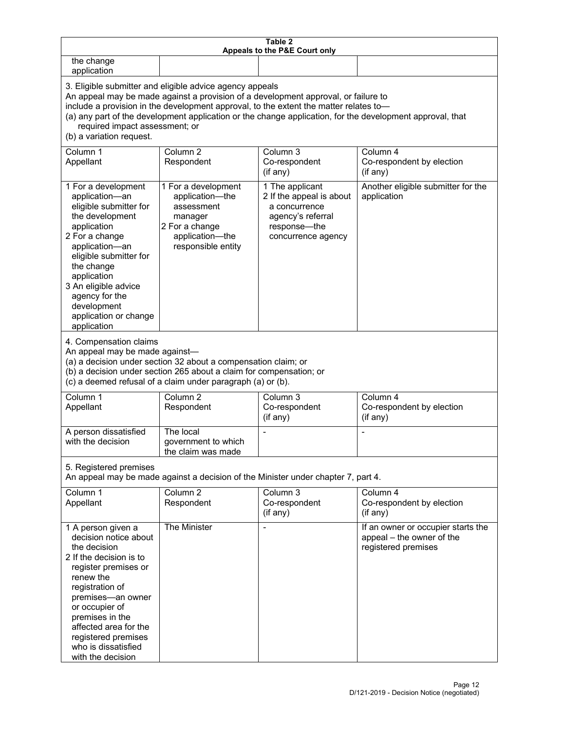| Table 2<br>Appeals to the P&E Court only                                                                                                                                                                                                                                                                                                                                                                           |                                                                                                                            |                                                                                                                         |                                                                                        |  |
|--------------------------------------------------------------------------------------------------------------------------------------------------------------------------------------------------------------------------------------------------------------------------------------------------------------------------------------------------------------------------------------------------------------------|----------------------------------------------------------------------------------------------------------------------------|-------------------------------------------------------------------------------------------------------------------------|----------------------------------------------------------------------------------------|--|
| the change<br>application                                                                                                                                                                                                                                                                                                                                                                                          |                                                                                                                            |                                                                                                                         |                                                                                        |  |
| 3. Eligible submitter and eligible advice agency appeals<br>An appeal may be made against a provision of a development approval, or failure to<br>include a provision in the development approval, to the extent the matter relates to-<br>(a) any part of the development application or the change application, for the development approval, that<br>required impact assessment; or<br>(b) a variation request. |                                                                                                                            |                                                                                                                         |                                                                                        |  |
| Column 1<br>Appellant                                                                                                                                                                                                                                                                                                                                                                                              | Column <sub>2</sub><br>Respondent                                                                                          | Column 3<br>Co-respondent<br>(if any)                                                                                   | Column 4<br>Co-respondent by election<br>(if any)                                      |  |
| 1 For a development<br>application-an<br>eligible submitter for<br>the development<br>application<br>2 For a change<br>application-an<br>eligible submitter for<br>the change<br>application<br>3 An eligible advice<br>agency for the<br>development<br>application or change<br>application                                                                                                                      | 1 For a development<br>application-the<br>assessment<br>manager<br>2 For a change<br>application-the<br>responsible entity | 1 The applicant<br>2 If the appeal is about<br>a concurrence<br>agency's referral<br>response-the<br>concurrence agency | Another eligible submitter for the<br>application                                      |  |
| 4. Compensation claims<br>An appeal may be made against-<br>(a) a decision under section 32 about a compensation claim; or<br>(b) a decision under section 265 about a claim for compensation; or<br>(c) a deemed refusal of a claim under paragraph (a) or (b).                                                                                                                                                   |                                                                                                                            |                                                                                                                         |                                                                                        |  |
| Column 1<br>Appellant                                                                                                                                                                                                                                                                                                                                                                                              | Column <sub>2</sub><br>Respondent                                                                                          | Column <sub>3</sub><br>Co-respondent<br>(if any)                                                                        | Column 4<br>Co-respondent by election<br>(if any)                                      |  |
| A person dissatisfied<br>with the decision                                                                                                                                                                                                                                                                                                                                                                         | The local<br>government to which<br>the claim was made                                                                     |                                                                                                                         |                                                                                        |  |
| 5. Registered premises<br>An appeal may be made against a decision of the Minister under chapter 7, part 4.                                                                                                                                                                                                                                                                                                        |                                                                                                                            |                                                                                                                         |                                                                                        |  |
| Column 1<br>Appellant                                                                                                                                                                                                                                                                                                                                                                                              | Column <sub>2</sub><br>Respondent                                                                                          | Column 3<br>Co-respondent<br>(if any)                                                                                   | Column 4<br>Co-respondent by election<br>(if any)                                      |  |
| 1 A person given a<br>decision notice about<br>the decision<br>2 If the decision is to<br>register premises or<br>renew the<br>registration of<br>premises-an owner<br>or occupier of<br>premises in the<br>affected area for the<br>registered premises<br>who is dissatisfied<br>with the decision                                                                                                               | The Minister                                                                                                               | $\overline{\phantom{0}}$                                                                                                | If an owner or occupier starts the<br>appeal - the owner of the<br>registered premises |  |